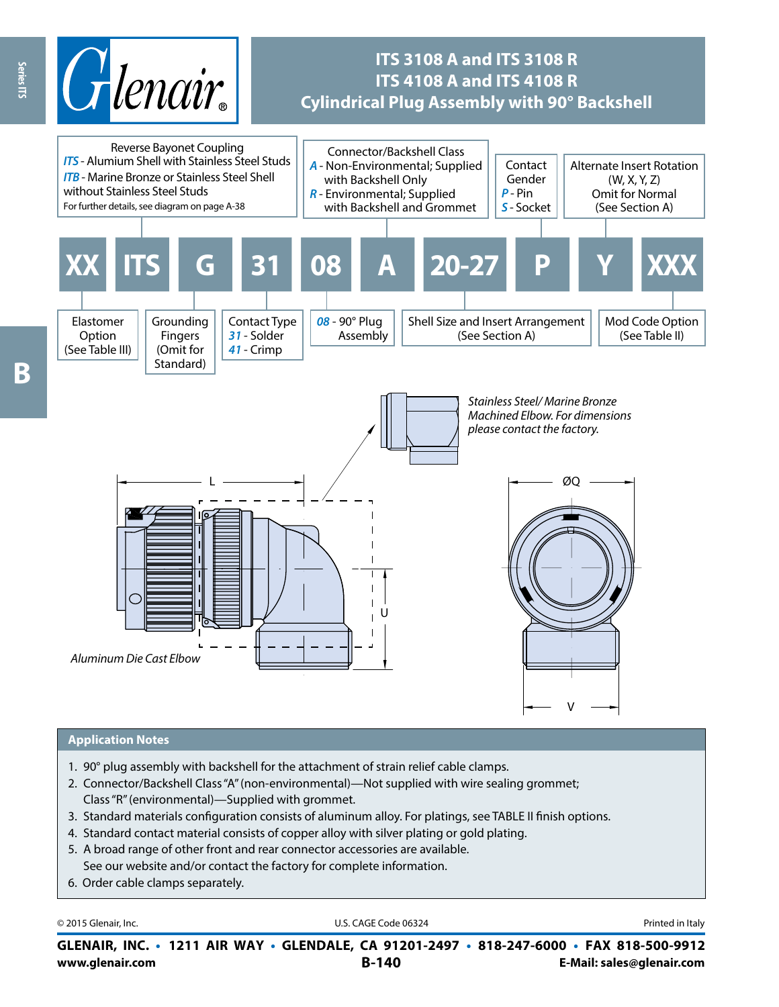

## **ITS 3108 A and ITS 3108 R ITS 4108 A and ITS 4108 R Cylindrical Plug Assembly with 90° Backshell**



#### **Application Notes**

- 1. 90° plug assembly with backshell for the attachment of strain relief cable clamps.
- 2. Connector/Backshell Class "A" (non-environmental)—Not supplied with wire sealing grommet; Class "R" (environmental)—Supplied with grommet.
- 3. Standard materials configuration consists of aluminum alloy. For platings, see TABLE II finish options.
- 4. Standard contact material consists of copper alloy with silver plating or gold plating.
- 5. A broad range of other front and rear connector accessories are available. See our website and/or contact the factory for complete information.
- 6. Order cable clamps separately.

© 2015 Glenair, Inc. **Discription Construction Construction Construction Construction Construction Construction Construction Construction Construction Construction Construction Construction Construction Construction Constr** 

**www.glenair.com B-140 E-Mail: sales@glenair.com GLENAIR, INC. • 1211 AIR WAY • GLENDALE, CA 91201-2497 • 818-247-6000 • FAX 818-500-9912**

**Beries ITS** Ŗ